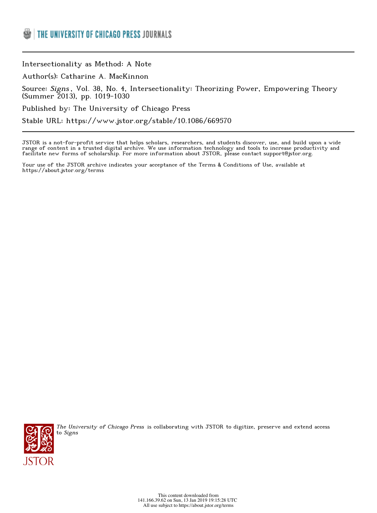# Intersectionality as Method: A Note

Author(s): Catharine A. MacKinnon

Source: Signs , Vol. 38, No. 4, Intersectionality: Theorizing Power, Empowering Theory (Summer 2013), pp. 1019-1030

Published by: The University of Chicago Press

Stable URL:<https://www.jstor.org/stable/10.1086/669570>

JSTOR is a not-for-profit service that helps scholars, researchers, and students discover, use, and build upon a wide range of content in a trusted digital archive. We use information technology and tools to increase productivity and facilitate new forms of scholarship. For more information about JSTOR, please contact support@jstor.org.

Your use of the JSTOR archive indicates your acceptance of the Terms & Conditions of Use, available at https://about.jstor.org/terms



The University of Chicago Press is collaborating with JSTOR to digitize, preserve and extend access to Signs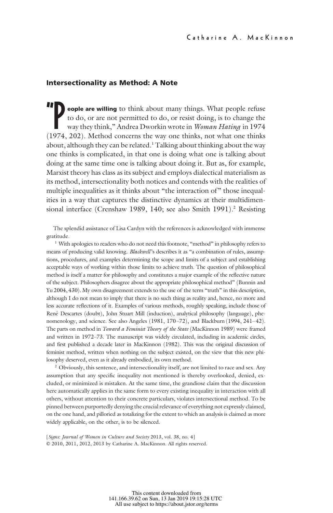### Intersectionality as Method: A Note

"P **eople are willing** to think about many things. What people refuse to do, or are not permitted to do, or resist doing, is to change the way they think," Andrea Dworkin wrote in Woman Hating in 1974  $(1974, 202)$ . Method concerns the way one thinks, not what one thinks about, although they can be related.<sup>1</sup> Talking about thinking about the way one thinks is complicated, in that one is doing what one is talking about doing at the same time one is talking about doing it. But as, for example, Marxist theory has class as its subject and employs dialectical materialism as its method, intersectionality both notices and contends with the realities of multiple inequalities as it thinks about "the interaction of" those inequalities in a way that captures the distinctive dynamics at their multidimensional interface (Crenshaw 1989, 140; see also Smith 1991).<sup>2</sup> Resisting

The splendid assistance of Lisa Cardyn with the references is acknowledged with immense gratitude.

<sup>1</sup> With apologies to readers who do not need this footnote, "method" in philosophy refers to means of producing valid knowing. *Blackwell's* describes it as "a combination of rules, assumptions, procedures, and examples determining the scope and limits of a subject and establishing acceptable ways of working within those limits to achieve truth. The question of philosophical method is itself a matter for philosophy and constitutes a major example of the reflective nature of the subject. Philosophers disagree about the appropriate philosophical method" (Bunnin and Yu 2004, 430). My own disagreement extends to the use of the term "truth" in this description, although I do not mean to imply that there is no such thing as reality and, hence, no more and less accurate reflections of it. Examples of various methods, roughly speaking, include those of René Descartes (doubt), John Stuart Mill (induction), analytical philosophy (language), phenomenology, and science. See also Angeles  $(1981, 170–72)$ , and Blackburn  $(1994, 241–42)$ . The parts on method in Toward a Feminist Theory of the State (MacKinnon 1989) were framed and written in 1972–73. The manuscript was widely circulated, including in academic circles, and first published a decade later in MacKinnon (1982). This was the original discussion of feminist method, written when nothing on the subject existed, on the view that this new philosophy deserved, even as it already embodied, its own method.

<sup>2</sup> Obviously, this sentence, and intersectionality itself, are not limited to race and sex. Any assumption that any specific inequality not mentioned is thereby overlooked, denied, excluded, or minimized is mistaken. At the same time, the grandiose claim that the discussion here automatically applies in the same form to every existing inequality in interaction with all others, without attention to their concrete particulars, violates intersectional method. To be pinned between purportedly denying the crucial relevance of everything not expressly claimed, on the one hand, and pilloried as totalizing for the extent to which an analysis is claimed as more widely applicable, on the other, is to be silenced.

[Signs: Journal of Women in Culture and Society 2013, vol. 38, no. 4] © 2010, 2011, 2012, 2013 by Catharine A. MacKinnon. All rights reserved.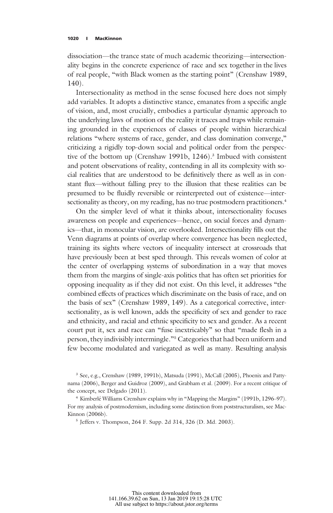dissociation—the trance state of much academic theorizing—intersectionality begins in the concrete experience of race and sex together in the lives of real people, "with Black women as the starting point" (Crenshaw 1989,  $140$ ).

Intersectionality as method in the sense focused here does not simply add variables. It adopts a distinctive stance, emanates from a specific angle of vision, and, most crucially, embodies a particular dynamic approach to the underlying laws of motion of the reality it traces and traps while remaining grounded in the experiences of classes of people within hierarchical relations "where systems of race, gender, and class domination converge," criticizing a rigidly top-down social and political order from the perspective of the bottom up (Crenshaw 1991b, 1246).<sup>3</sup> Imbued with consistent and potent observations of reality, contending in all its complexity with social realities that are understood to be definitively there as well as in constant flux—without falling prey to the illusion that these realities can be presumed to be fluidly reversible or reinterpreted out of existence—intersectionality as theory, on my reading, has no true postmodern practitioners.<sup>4</sup>

On the simpler level of what it thinks about, intersectionality focuses awareness on people and experiences—hence, on social forces and dynamics—that, in monocular vision, are overlooked. Intersectionality fills out the Venn diagrams at points of overlap where convergence has been neglected, training its sights where vectors of inequality intersect at crossroads that have previously been at best sped through. This reveals women of color at the center of overlapping systems of subordination in a way that moves them from the margins of single-axis politics that has often set priorities for opposing inequality as if they did not exist. On this level, it addresses "the combined effects of practices which discriminate on the basis of race, and on the basis of sex" (Crenshaw 1989, 149). As a categorical corrective, intersectionality, as is well known, adds the specificity of sex and gender to race and ethnicity, and racial and ethnic specificity to sex and gender. As a recent court put it, sex and race can "fuse inextricably" so that "made flesh in a person, they indivisibly intermingle."5 Categories that had been uniform and few become modulated and variegated as well as many. Resulting analysis

 $3$  See, e.g., Crenshaw (1989, 1991b), Matsuda (1991), McCall (2005), Phoenix and Pattynama (2006), Berger and Guidroz (2009), and Grabham et al. (2009). For a recent critique of the concept, see Delgado (2011).

<sup>4</sup> Kimberlé Williams Crenshaw explains why in "Mapping the Margins" (1991b, 1296–97). For my analysis of postmodernism, including some distinction from poststructuralism, see Mac-Kinnon (2006b).<br><sup>5</sup> Jeffers v. Thompson, 264 F. Supp. 2d 314, 326 (D. Md. 2003).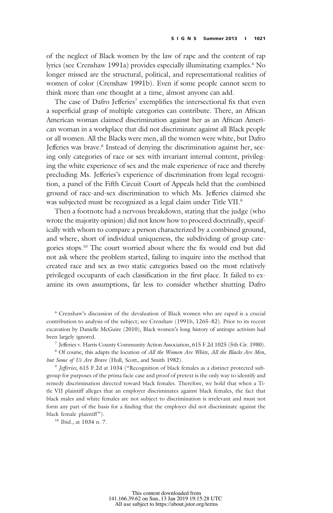of the neglect of Black women by the law of rape and the content of rap lyrics (see Crenshaw 1991a) provides especially illuminating examples.<sup>6</sup> No longer missed are the structural, political, and representational realities of women of color (Crenshaw 1991b). Even if some people cannot seem to think more than one thought at a time, almost anyone can add.

The case of Dafro Jefferies<sup>7</sup> exemplifies the intersectional fix that even a superficial grasp of multiple categories can contribute. There, an African American woman claimed discrimination against her as an African American woman in a workplace that did not discriminate against all Black people or all women. All the Blacks were men, all the women were white, but Dafro Jefferies was brave.<sup>8</sup> Instead of denying the discrimination against her, seeing only categories of race or sex with invariant internal content, privileging the white experience of sex and the male experience of race and thereby precluding Ms. Jefferies's experience of discrimination from legal recognition, a panel of the Fifth Circuit Court of Appeals held that the combined ground of race-and-sex discrimination to which Ms. Jefferies claimed she was subjected must be recognized as a legal claim under Title VII.9

Then a footnote had a nervous breakdown, stating that the judge (who wrote the majority opinion) did not know how to proceed doctrinally, specifically with whom to compare a person characterized by a combined ground, and where, short of individual uniqueness, the subdividing of group categories stops.10 The court worried about where the fix would end but did not ask where the problem started, failing to inquire into the method that created race and sex as two static categories based on the most relatively privileged occupants of each classification in the first place. It failed to examine its own assumptions, far less to consider whether shutting Dafro

<sup>6</sup> Crenshaw's discussion of the devaluation of Black women who are raped is a crucial contribution to analysis of the subject; see Crenshaw (1991b, 1265–82). Prior to its recent excavation by Danielle McGuire (2010), Black women's long history of antirape activism had been largely ignored.

<sup>7</sup> Jefferies v. Harris County Community Action Association, 615 F.2d 1025 (5th Cir. 1980). <sup>8</sup> Of course, this adapts the locution of *All the Women Are White, All the Blacks Are Men*,

but Some of Us Are Brave (Hull, Scott, and Smith 1982).<br><sup>9</sup> Jefferies, 615 F.2d at 1034 ("Recognition of black females as a distinct protected sub-

group for purposes of the prima facie case and proof of pretext is the only way to identify and remedy discrimination directed toward black females. Therefore, we hold that when a Title VII plaintiff alleges that an employer discriminates against black females, the fact that black males and white females are not subject to discrimination is irrelevant and must not form any part of the basis for a finding that the employer did not discriminate against the black female plaintiff").<br><sup>10</sup> Ibid., at 1034 n. 7.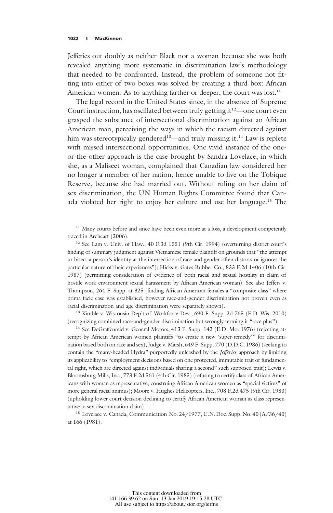Jefferies out doubly as neither Black nor a woman because she was both revealed anything more systematic in discrimination law's methodology that needed to be confronted. Instead, the problem of someone not fitting into either of two boxes was solved by creating a third box: African American women. As to anything farther or deeper, the court was lost.<sup>11</sup>

The legal record in the United States since, in the absence of Supreme Court instruction, has oscillated between truly getting it<sup>12</sup>—one court even grasped the substance of intersectional discrimination against an African American man, perceiving the ways in which the racism directed against him was stereotypically gendered<sup>13</sup>—and truly missing it.<sup>14</sup> Law is replete with missed intersectional opportunities. One vivid instance of the oneor-the-other approach is the case brought by Sandra Lovelace, in which she, as a Maliseet woman, complained that Canadian law considered her no longer a member of her nation, hence unable to live on the Tobique Reserve, because she had married out. Without ruling on her claim of sex discrimination, the UN Human Rights Committee found that Canada violated her right to enjoy her culture and use her language.15 The

 $11$  Many courts before and since have been even more at a loss, a development competently traced in Areheart (2006).<br><sup>12</sup> See Lam v. Univ. of Haw., 40 F.3d 1551 (9th Cir. 1994) (overturning district court's

finding of summary judgment against Vietnamese female plaintiff on grounds that "the attempt to bisect a person's identity at the intersection of race and gender often distorts or ignores the particular nature of their experiences"); Hicks v. Gates Rubber Co., 833 F.2d 1406 (10th Cir. 1987) (permitting consideration of evidence of both racial and sexual hostility in claim of hostile work environment sexual harassment by African American woman). See also Jeffers v. Thompson, 264 F. Supp. at 325 (finding African American females a "composite class" where prima facie case was established, however race-and-gender discrimination not proven even as

racial discrimination and age discrimination were separately shown).<br><sup>13</sup> Kimble v. Wisconsin Dep't of Workforce Dev., 690 F. Supp. 2d 765 (E.D. Wis. 2010)<br>(recognizing combined race-and-gender discrimination but wrongly t

<sup>14</sup> See DeGraffenreid v. General Motors, 413 F. Supp. 142 (E.D. Mo. 1976) (rejecting attempt by African American women plaintiffs "to create a new 'super-remedy'" for discrimination based both on race and sex); Judge v. Marsh, 649 F. Supp. 770 (D.D.C. 1986) (seeking to contain the "many-headed Hydra" purportedly unleashed by the Jefferies approach by limiting its applicability to "employment decisions based on one protected, immutable trait or fundamental right, which are directed against individuals sharing a second" such supposed trait); Lewis v. Bloomsburg Mills, Inc., 773 F.2d 561 (4th Cir. 1985) (refusing to certify class of African Americans with woman as representative, construing African American women as "special victims" of more general racial animus); Moore v. Hughes Helicopters, Inc., 708 F.2d 475 (9th Cir. 1983) (upholding lower court decision declining to certify African American woman as class representative in sex discrimination claim).

 $15$  Lovelace v. Canada, Communication No.  $24/1977$ , U.N. Doc. Supp. No.  $40 (A/36/40)$ at 166 (1981).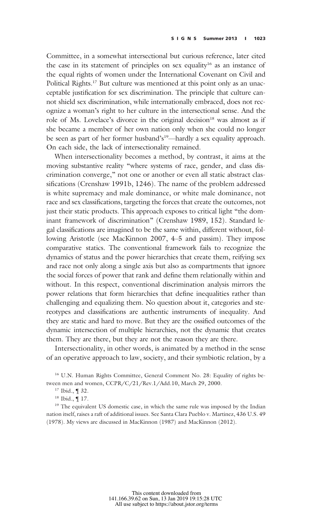Committee, in a somewhat intersectional but curious reference, later cited the case in its statement of principles on sex equality<sup>16</sup> as an instance of the equal rights of women under the International Covenant on Civil and Political Rights.<sup>17</sup> But culture was mentioned at this point only as an unacceptable justification for sex discrimination. The principle that culture cannot shield sex discrimination, while internationally embraced, does not recognize a woman's right to her culture in the intersectional sense. And the role of Ms. Lovelace's divorce in the original decision<sup>18</sup> was almost as if she became a member of her own nation only when she could no longer be seen as part of her former husband's<sup>19</sup>—hardly a sex equality approach. On each side, the lack of intersectionality remained.

When intersectionality becomes a method, by contrast, it aims at the moving substantive reality "where systems of race, gender, and class discrimination converge," not one or another or even all static abstract classifications (Crenshaw 1991b, 1246). The name of the problem addressed is white supremacy and male dominance, or white male dominance, not race and sex classifications, targeting the forces that create the outcomes, not just their static products. This approach exposes to critical light "the dominant framework of discrimination" (Crenshaw 1989, 152). Standard legal classifications are imagined to be the same within, different without, following Aristotle (see MacKinnon 2007, 4–5 and passim). They impose comparative statics. The conventional framework fails to recognize the dynamics of status and the power hierarchies that create them, reifying sex and race not only along a single axis but also as compartments that ignore the social forces of power that rank and define them relationally within and without. In this respect, conventional discrimination analysis mirrors the power relations that form hierarchies that define inequalities rather than challenging and equalizing them. No question about it, categories and stereotypes and classifications are authentic instruments of inequality. And they are static and hard to move. But they are the ossified outcomes of the dynamic intersection of multiple hierarchies, not the dynamic that creates them. They are there, but they are not the reason they are there.

Intersectionality, in other words, is animated by a method in the sense of an operative approach to law, society, and their symbiotic relation, by a

<sup>16</sup> U.N. Human Rights Committee, General Comment No. 28: Equality of rights between men and women, CCPR/C/21/Rev.1/Add.10, March 29, 2000.

 $18$  Ibid., ¶ 17.

<sup>19</sup> The equivalent US domestic case, in which the same rule was imposed by the Indian nation itself, raises a raft of additional issues. See Santa Clara Pueblo v. Martinez, 436 U.S. 49  $(1978)$ . My views are discussed in MacKinnon  $(1987)$  and MacKinnon  $(2012)$ .

<sup>17</sup> Ibid., ¶ 32.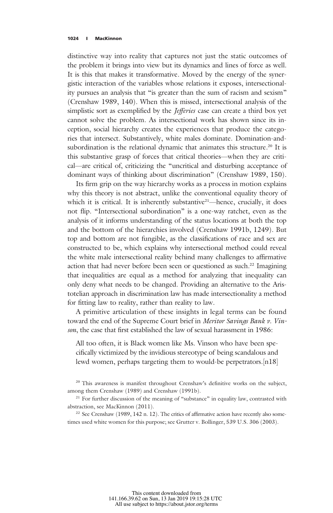distinctive way into reality that captures not just the static outcomes of the problem it brings into view but its dynamics and lines of force as well. It is this that makes it transformative. Moved by the energy of the synergistic interaction of the variables whose relations it exposes, intersectionality pursues an analysis that "is greater than the sum of racism and sexism"  $(Crenshaw 1989, 140)$ . When this is missed, intersectional analysis of the simplistic sort as exemplified by the *Jefferies* case can create a third box yet cannot solve the problem. As intersectional work has shown since its inception, social hierarchy creates the experiences that produce the categories that intersect. Substantively, white males dominate. Domination-andsubordination is the relational dynamic that animates this structure.<sup>20</sup> It is this substantive grasp of forces that critical theories—when they are critical—are critical of, criticizing the "uncritical and disturbing acceptance of dominant ways of thinking about discrimination" (Crenshaw 1989, 150).

Its firm grip on the way hierarchy works as a process in motion explains why this theory is not abstract, unlike the conventional equality theory of which it is critical. It is inherently substantive<sup>21</sup>—hence, crucially, it does not flip. "Intersectional subordination" is a one-way ratchet, even as the analysis of it informs understanding of the status locations at both the top and the bottom of the hierarchies involved (Crenshaw 1991b, 1249). But top and bottom are not fungible, as the classifications of race and sex are constructed to be, which explains why intersectional method could reveal the white male intersectional reality behind many challenges to affirmative action that had never before been seen or questioned as such.<sup>22</sup> Imagining that inequalities are equal as a method for analyzing that inequality can only deny what needs to be changed. Providing an alternative to the Aristotelian approach in discrimination law has made intersectionality a method for fitting law to reality, rather than reality to law.

A primitive articulation of these insights in legal terms can be found toward the end of the Supreme Court brief in Meritor Savings Bank v. Vinson, the case that first established the law of sexual harassment in 1986:

All too often, it is Black women like Ms. Vinson who have been specifically victimized by the invidious stereotype of being scandalous and lewd women, perhaps targeting them to would-be perpetrators.[n18]

<sup>20</sup> This awareness is manifest throughout Crenshaw's definitive works on the subject, among them Crenshaw (1989) and Crenshaw (1991b).<br><sup>21</sup> For further discussion of the meaning of "substance" in equality law, contrasted with

abstraction, see MacKinnon (2011).<br><sup>22</sup> See Crenshaw (1989, 142 n. 12). The critics of affirmative action have recently also some-

times used white women for this purpose; see Grutter v. Bollinger, 539 U.S. 306 (2003).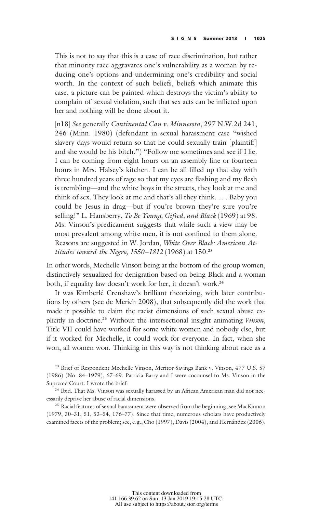This is not to say that this is a case of race discrimination, but rather that minority race aggravates one's vulnerability as a woman by reducing one's options and undermining one's credibility and social worth. In the context of such beliefs, beliefs which animate this case, a picture can be painted which destroys the victim's ability to complain of sexual violation, such that sex acts can be inflicted upon her and nothing will be done about it.

[n18] See generally Continental Can v. Minnesota, 297 N.W.2d 241, 246 (Minn. 1980) (defendant in sexual harassment case "wished slavery days would return so that he could sexually train [plaintiff] and she would be his bitch.") "Follow me sometimes and see if I lie. I can be coming from eight hours on an assembly line or fourteen hours in Mrs. Halsey's kitchen. I can be all filled up that day with three hundred years of rage so that my eyes are flashing and my flesh is trembling—and the white boys in the streets, they look at me and think of sex. They look at me and that's all they think. ... Baby you could be Jesus in drag—but if you're brown they're sure you're selling!" L. Hansberry, To Be Young, Gifted, and Black (1969) at 98. Ms. Vinson's predicament suggests that while such a view may be most prevalent among white men, it is not confined to them alone. Reasons are suggested in W. Jordan, White Over Black: American Attitudes toward the Negro,  $1550 - 1812$  (1968) at  $150.^{23}$ 

In other words, Mechelle Vinson being at the bottom of the group women, distinctively sexualized for denigration based on being Black and a woman both, if equality law doesn't work for her, it doesn't work.<sup>24</sup>

It was Kimberlé Crenshaw's brilliant theorizing, with later contributions by others (see de Merich 2008), that subsequently did the work that made it possible to claim the racist dimensions of such sexual abuse explicitly in doctrine.<sup>25</sup> Without the intersectional insight animating *Vinson*, Title VII could have worked for some white women and nobody else, but if it worked for Mechelle, it could work for everyone. In fact, when she won, all women won. Thinking in this way is not thinking about race as a

<sup>23</sup> Brief of Respondent Mechelle Vinson, Meritor Savings Bank v. Vinson, 477 U.S. 57  $(1986)$  (No. 84–1979), 67–69. Patricia Barry and I were cocounsel to Ms. Vinson in the Supreme Court. I wrote the brief.

<sup>24</sup> Ibid. That Ms. Vinson was sexually harassed by an African American man did not necessarily deprive her abuse of racial dimensions.

<sup>25</sup> Racial features of sexual harassment were observed from the beginning; see MacKinnon  $(1979, 30-31, 51, 53-54, 176-77)$ . Since that time, numerous scholars have productively examined facets of the problem; see, e.g., Cho (1997), Davis (2004), and Hernández (2006).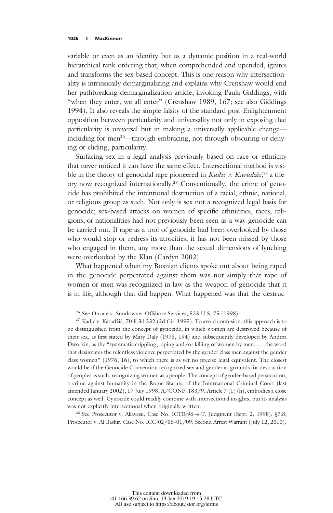variable or even as an identity but as a dynamic position in a real-world hierarchical rank ordering that, when comprehended and upended, ignites and transforms the sex-based concept. This is one reason why intersectionality is intrinsically demarginalizing and explains why Crenshaw would end her pathbreaking demarginalization article, invoking Paula Giddings, with "when they enter, we all enter" (Crenshaw 1989, 167; see also Giddings 1994). It also reveals the simple falsity of the standard post-Enlightenment opposition between particularity and universality not only in exposing that particularity is universal but in making a universally applicable change including for men<sup>26</sup>—through embracing, not through obscuring or denying or eliding, particularity.

Surfacing sex in a legal analysis previously based on race or ethnicity that never noticed it can have the same effect. Intersectional method is visible in the theory of genocidal rape pioneered in Kadic v. Karadzic<sup>27</sup> a theory now recognized internationally.<sup>28</sup> Conventionally, the crime of genocide has prohibited the intentional destruction of a racial, ethnic, national, or religious group as such. Not only is sex not a recognized legal basis for genocide; sex-based attacks on women of specific ethnicities, races, religions, or nationalities had not previously been seen as a way genocide can be carried out. If rape as a tool of genocide had been overlooked by those who would stop or redress its atrocities, it has not been missed by those who engaged in them, any more than the sexual dimensions of lynching were overlooked by the Klan (Cardyn 2002).

What happened when my Bosnian clients spoke out about being raped in the genocide perpetrated against them was not simply that rape of women or men was recognized in law as the weapon of genocide that it is in life, although that did happen. What happened was that the destruc-

<sup>26</sup> See Oncale v. Sundowner Offshore Services, 523 U.S. 75 (1998).<br><sup>27</sup> Kadic v. Karadžić, 70 F.3d 232 (2d Cir. 1995). To avoid confusion, this approach is to be distinguished from the concept of gynocide, in which women are destroyed because of their sex, as first stated by Mary Daly (1973, 194) and subsequently developed by Andrea Dworkin, as the "systematic crippling, raping and/or killing of women by men, ... the word that designates the relentless violence perpetrated by the gender class men against the gender class women" (1976, 16), to which there is as yet no precise legal equivalent. The closest would be if the Genocide Convention recognized sex and gender as grounds for destruction of peoples as such, recognizing women as a people. The concept of gender-based persecution, a crime against humanity in the Rome Statute of the International Criminal Court (last amended January 2002), 17 July 1998, A/CONF. 183/9, Article 7 (1) (h), embodies a close concept as well. Gynocide could readily combine with intersectional insights, but its analysis was not explicitly intersectional when originally written.

<sup>28</sup> See Prosecutor v. Akayesu, Case No. ICTR-96-4-T, Judgment (Sept. 2, 1998), §7.8; Prosecutor v. Al Bashir, Case No. ICC-02/05–01/09, Second Arrest Warrant (July 12, 2010).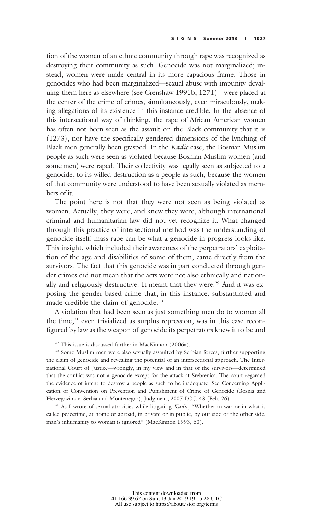tion of the women of an ethnic community through rape was recognized as destroying their community as such. Genocide was not marginalized; instead, women were made central in its more capacious frame. Those in genocides who had been marginalized—sexual abuse with impunity devaluing them here as elsewhere (see Crenshaw 1991b, 1271)—were placed at the center of the crime of crimes, simultaneously, even miraculously, making allegations of its existence in this instance credible. In the absence of this intersectional way of thinking, the rape of African American women has often not been seen as the assault on the Black community that it is  $(1273)$ , nor have the specifically gendered dimensions of the lynching of Black men generally been grasped. In the Kadic case, the Bosnian Muslim people as such were seen as violated because Bosnian Muslim women (and some men) were raped. Their collectivity was legally seen as subjected to a genocide, to its willed destruction as a people as such, because the women of that community were understood to have been sexually violated as members of it.

The point here is not that they were not seen as being violated as women. Actually, they were, and knew they were, although international criminal and humanitarian law did not yet recognize it. What changed through this practice of intersectional method was the understanding of genocide itself: mass rape can be what a genocide in progress looks like. This insight, which included their awareness of the perpetrators' exploitation of the age and disabilities of some of them, came directly from the survivors. The fact that this genocide was in part conducted through gender crimes did not mean that the acts were not also ethnically and nationally and religiously destructive. It meant that they were.<sup>29</sup> And it was exposing the gender-based crime that, in this instance, substantiated and made credible the claim of genocide.<sup>30</sup>

A violation that had been seen as just something men do to women all the time,<sup>31</sup> even trivialized as surplus repression, was in this case reconfigured by law as the weapon of genocide its perpetrators knew it to be and

<sup>29</sup> This issue is discussed further in MacKinnon (2006a).<br><sup>30</sup> Some Muslim men were also sexually assaulted by Serbian forces, further supporting the claim of genocide and revealing the potential of an intersectional approach. The International Court of Justice—wrongly, in my view and in that of the survivors—determined that the conflict was not a genocide except for the attack at Srebrenica. The court regarded the evidence of intent to destroy a people as such to be inadequate. See Concerning Application of Convention on Prevention and Punishment of Crime of Genocide (Bosnia and Herzegovina v. Serbia and Montenegro), Judgment, 2007 I.C.J. 43 (Feb. 26).

 $^{31}$  As I wrote of sexual atrocities while litigating Kadic, "Whether in war or in what is called peacetime, at home or abroad, in private or in public, by our side or the other side, man's inhumanity to woman is ignored" (MacKinnon 1993, 60).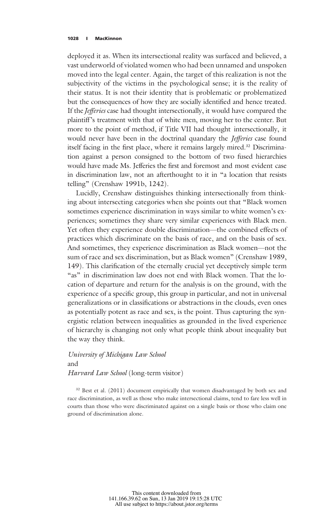deployed it as. When its intersectional reality was surfaced and believed, a vast underworld of violated women who had been unnamed and unspoken moved into the legal center. Again, the target of this realization is not the subjectivity of the victims in the psychological sense; it is the reality of their status. It is not their identity that is problematic or problematized but the consequences of how they are socially identified and hence treated. If the *Jefferies* case had thought intersectionally, it would have compared the plaintiff 's treatment with that of white men, moving her to the center. But more to the point of method, if Title VII had thought intersectionally, it would never have been in the doctrinal quandary the *Jefferies* case found itself facing in the first place, where it remains largely mired.<sup>32</sup> Discrimination against a person consigned to the bottom of two fused hierarchies would have made Ms. Jefferies the first and foremost and most evident case in discrimination law, not an afterthought to it in "a location that resists telling" (Crenshaw 1991b, 1242).

Lucidly, Crenshaw distinguishes thinking intersectionally from thinking about intersecting categories when she points out that "Black women sometimes experience discrimination in ways similar to white women's experiences; sometimes they share very similar experiences with Black men. Yet often they experience double discrimination—the combined effects of practices which discriminate on the basis of race, and on the basis of sex. And sometimes, they experience discrimination as Black women—not the sum of race and sex discrimination, but as Black women" (Crenshaw 1989, 149). This clarification of the eternally crucial yet deceptively simple term "as" in discrimination law does not end with Black women. That the location of departure and return for the analysis is on the ground, with the experience of a specific group, this group in particular, and not in universal generalizations or in classifications or abstractions in the clouds, even ones as potentially potent as race and sex, is the point. Thus capturing the synergistic relation between inequalities as grounded in the lived experience of hierarchy is changing not only what people think about inequality but the way they think.

## University of Michigan Law School and Harvard Law School (long-term visitor)

 $32$  Best et al. (2011) document empirically that women disadvantaged by both sex and race discrimination, as well as those who make intersectional claims, tend to fare less well in courts than those who were discriminated against on a single basis or those who claim one ground of discrimination alone.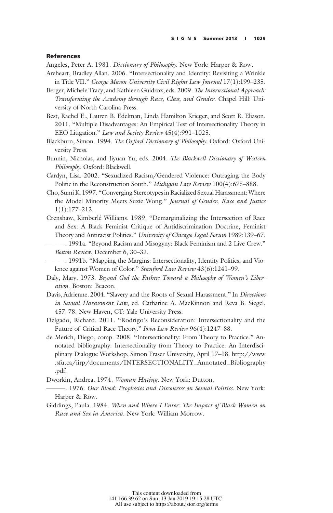#### References

Angeles, Peter A. 1981. Dictionary of Philosophy. New York: Harper & Row.

- Areheart, Bradley Allan. 2006. "Intersectionality and Identity: Revisiting a Wrinkle in Title VII." George Mason University Civil Rights Law Journal  $17(1):199-235$ .
- Berger, Michele Tracy, and Kathleen Guidroz, eds. 2009. The Intersectional Approach: Transforming the Academy through Race, Class, and Gender. Chapel Hill: University of North Carolina Press.
- Best, Rachel E., Lauren B. Edelman, Linda Hamilton Krieger, and Scott R. Eliason. 2011. "Multiple Disadvantages: An Empirical Test of Intersectionality Theory in EEO Litigation." Law and Society Review 45(4):991-1025.
- Blackburn, Simon. 1994. The Oxford Dictionary of Philosophy. Oxford: Oxford University Press.
- Bunnin, Nicholas, and Jiyuan Yu, eds. 2004. The Blackwell Dictionary of Western Philosophy. Oxford: Blackwell.
- Cardyn, Lisa. 2002. "Sexualized Racism/Gendered Violence: Outraging the Body Politic in the Reconstruction South." Michigan Law Review 100(4):675–888.
- Cho, Sumi K. 1997. "Converging Stereotypes in Racialized Sexual Harassment: Where the Model Minority Meets Suzie Wong." Journal of Gender, Race and Justice  $1(1):177-212.$
- Crenshaw, Kimberle´ Williams. 1989. "Demarginalizing the Intersection of Race and Sex: A Black Feminist Critique of Antidiscrimination Doctrine, Feminist Theory and Antiracist Politics." University of Chicago Legal Forum 1989:139–67. ———. 1991a. "Beyond Racism and Misogyny: Black Feminism and 2 Live Crew." Boston Review, December 6, 30–33.
- ———. 1991b. "Mapping the Margins: Intersectionality, Identity Politics, and Violence against Women of Color." Stanford Law Review 43(6):1241-99.
- Daly, Mary. 1973. Beyond God the Father: Toward a Philosophy of Women's Liberation. Boston: Beacon.
- Davis, Adrienne. 2004. "Slavery and the Roots of Sexual Harassment." In Directions in Sexual Harassment Law, ed. Catharine A. MacKinnon and Reva B. Siegel, 457–78. New Haven, CT: Yale University Press.
- Delgado, Richard. 2011. "Rodrigo's Reconsideration: Intersectionality and the Future of Critical Race Theory." Iowa Law Review 96(4):1247-88.
- de Merich, Diego, comp. 2008. "Intersectionality: From Theory to Practice." Annotated bibliography. Intersectionality from Theory to Practice: An Interdisciplinary Dialogue Workshop, Simon Fraser University, April 17–18. http://www .sfu.ca/iirp/documents/INTERSECTIONALITY\_Annotated\_Bibliography .pdf.

Dworkin, Andrea. 1974. Woman Hating. New York: Dutton.

- ———. 1976. Our Blood: Prophesies and Discourses on Sexual Politics. New York: Harper & Row.
- Giddings, Paula. 1984. When and Where I Enter: The Impact of Black Women on Race and Sex in America. New York: William Morrow.